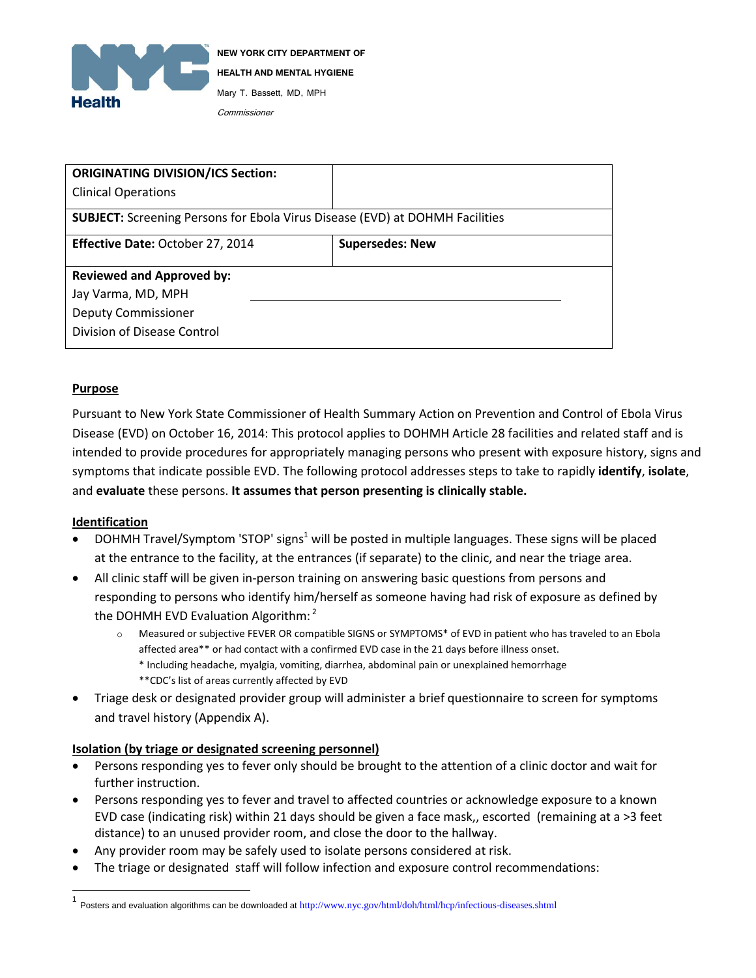

| <b>ORIGINATING DIVISION/ICS Section:</b>                                            |                        |
|-------------------------------------------------------------------------------------|------------------------|
| <b>Clinical Operations</b>                                                          |                        |
| <b>SUBJECT:</b> Screening Persons for Ebola Virus Disease (EVD) at DOHMH Facilities |                        |
| <b>Effective Date: October 27, 2014</b>                                             | <b>Supersedes: New</b> |
| <b>Reviewed and Approved by:</b>                                                    |                        |
| Jay Varma, MD, MPH                                                                  |                        |
| <b>Deputy Commissioner</b>                                                          |                        |
| Division of Disease Control                                                         |                        |

#### **Purpose**

Pursuant to New York State Commissioner of Health Summary Action on Prevention and Control of Ebola Virus Disease (EVD) on October 16, 2014: This protocol applies to DOHMH Article 28 facilities and related staff and is intended to provide procedures for appropriately managing persons who present with exposure history, signs and symptoms that indicate possible EVD. The following protocol addresses steps to take to rapidly **identify**, **isolate**, and **evaluate** these persons. **It assumes that person presenting is clinically stable.**

#### **Identification**

 $\overline{a}$ 

- $\bullet$  DOHMH Travel/Symptom 'STOP' signs<sup>1</sup> will be posted in multiple languages. These signs will be placed at the entrance to the facility, at the entrances (if separate) to the clinic, and near the triage area.
- All clinic staff will be given in-person training on answering basic questions from persons and responding to persons who identify him/herself as someone having had risk of exposure as defined by the DOHMH EVD Evaluation Algorithm:<sup>2</sup>
	- o Measured or subjective FEVER OR compatible SIGNS or SYMPTOMS\* of EVD in patient who has traveled to an Ebola affected area\*\* or had contact with a confirmed EVD case in the 21 days before illness onset. \* Including headache, myalgia, vomiting, diarrhea, abdominal pain or unexplained hemorrhage \*\*CDC's list of areas currently affected by EVD
- Triage desk or designated provider group will administer a brief questionnaire to screen for symptoms and travel history (Appendix A).

#### **Isolation (by triage or designated screening personnel)**

- Persons responding yes to fever only should be brought to the attention of a clinic doctor and wait for further instruction.
- Persons responding yes to fever and travel to affected countries or acknowledge exposure to a known EVD case (indicating risk) within 21 days should be given a face mask,, escorted (remaining at a >3 feet distance) to an unused provider room, and close the door to the hallway.
- Any provider room may be safely used to isolate persons considered at risk.
- The triage or designated staff will follow infection and exposure control recommendations:

<sup>1&</sup>lt;br>Posters and evaluation algorithms can be downloaded at http://www.nyc.gov/html/doh/html/hcp/infectious-diseases.shtml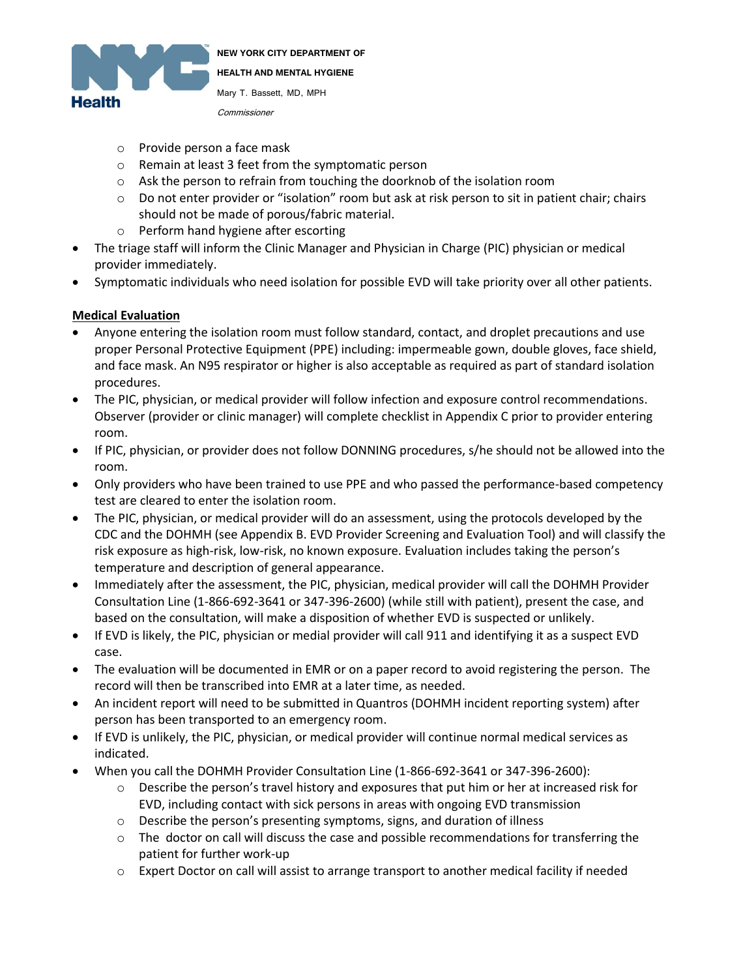

- o Provide person a face mask
- o Remain at least 3 feet from the symptomatic person
- o Ask the person to refrain from touching the doorknob of the isolation room
- o Do not enter provider or "isolation" room but ask at risk person to sit in patient chair; chairs should not be made of porous/fabric material.
- o Perform hand hygiene after escorting
- The triage staff will inform the Clinic Manager and Physician in Charge (PIC) physician or medical provider immediately.
- Symptomatic individuals who need isolation for possible EVD will take priority over all other patients.

### **Medical Evaluation**

- Anyone entering the isolation room must follow standard, contact, and droplet precautions and use proper Personal Protective Equipment (PPE) including: impermeable gown, double gloves, face shield, and face mask. An N95 respirator or higher is also acceptable as required as part of standard isolation procedures.
- The PIC, physician, or medical provider will follow infection and exposure control recommendations. Observer (provider or clinic manager) will complete checklist in Appendix C prior to provider entering room.
- If PIC, physician, or provider does not follow DONNING procedures, s/he should not be allowed into the room.
- Only providers who have been trained to use PPE and who passed the performance-based competency test are cleared to enter the isolation room.
- The PIC, physician, or medical provider will do an assessment, using the protocols developed by the CDC and the DOHMH (see Appendix B. EVD Provider Screening and Evaluation Tool) and will classify the risk exposure as high-risk, low-risk, no known exposure. Evaluation includes taking the person's temperature and description of general appearance.
- Immediately after the assessment, the PIC, physician, medical provider will call the DOHMH Provider Consultation Line (1-866-692-3641 or 347-396-2600) (while still with patient), present the case, and based on the consultation, will make a disposition of whether EVD is suspected or unlikely.
- If EVD is likely, the PIC, physician or medial provider will call 911 and identifying it as a suspect EVD case.
- The evaluation will be documented in EMR or on a paper record to avoid registering the person. The record will then be transcribed into EMR at a later time, as needed.
- An incident report will need to be submitted in Quantros (DOHMH incident reporting system) after person has been transported to an emergency room.
- If EVD is unlikely, the PIC, physician, or medical provider will continue normal medical services as indicated.
- When you call the DOHMH Provider Consultation Line (1-866-692-3641 or 347-396-2600):
	- o Describe the person's travel history and exposures that put him or her at increased risk for EVD, including contact with sick persons in areas with ongoing EVD transmission
	- o Describe the person's presenting symptoms, signs, and duration of illness
	- $\circ$  The doctor on call will discuss the case and possible recommendations for transferring the patient for further work-up
	- o Expert Doctor on call will assist to arrange transport to another medical facility if needed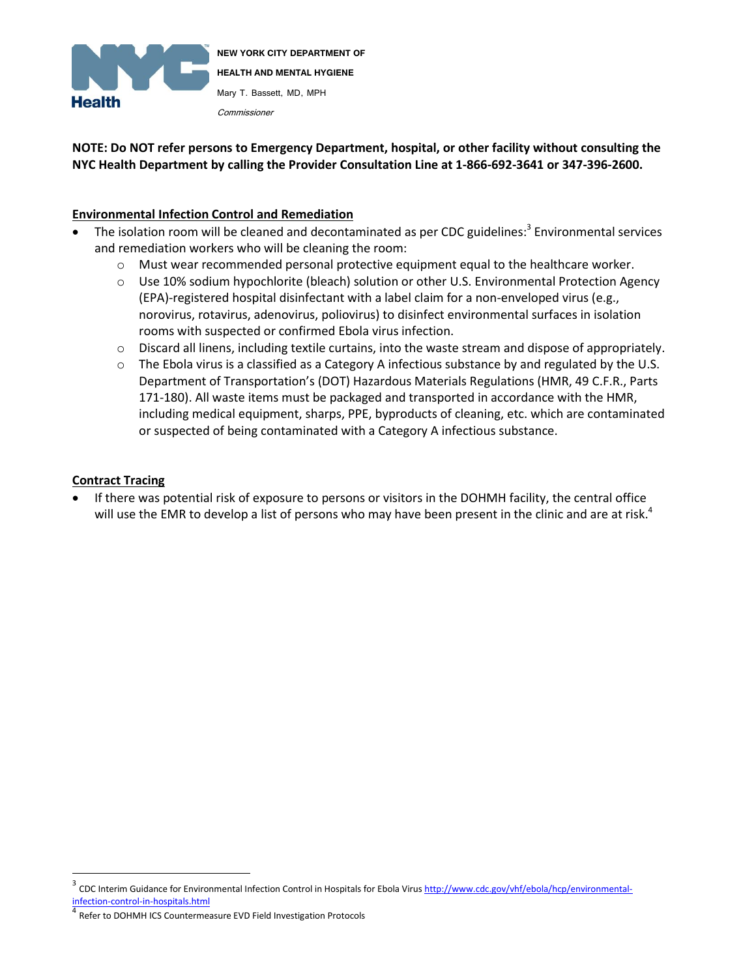

**NOTE: Do NOT refer persons to Emergency Department, hospital, or other facility without consulting the NYC Health Department by calling the Provider Consultation Line at 1-866-692-3641 or 347-396-2600.**

### **Environmental Infection Control and Remediation**

- The isolation room will be cleaned and decontaminated as per CDC guidelines:<sup>3</sup> Environmental services and remediation workers who will be cleaning the room:
	- o Must wear recommended personal protective equipment equal to the healthcare worker.
	- o Use 10% sodium hypochlorite (bleach) solution or other U.S. Environmental Protection Agency (EPA)-registered hospital disinfectant with a label claim for a non-enveloped virus (e.g., norovirus, rotavirus, adenovirus, poliovirus) to disinfect environmental surfaces in isolation rooms with suspected or confirmed Ebola virus infection.
	- o Discard all linens, including textile curtains, into the waste stream and dispose of appropriately.
	- $\circ$  The Ebola virus is a classified as a Category A infectious substance by and regulated by the U.S. Department of Transportation's (DOT) Hazardous Materials Regulations (HMR, 49 C.F.R., Parts 171-180). All waste items must be packaged and transported in accordance with the HMR, including medical equipment, sharps, PPE, byproducts of cleaning, etc. which are contaminated or suspected of being contaminated with a Category A infectious substance.

### **Contract Tracing**

 $\overline{a}$ 

 If there was potential risk of exposure to persons or visitors in the DOHMH facility, the central office will use the EMR to develop a list of persons who may have been present in the clinic and are at risk.<sup>4</sup>

<sup>3</sup> CDC Interim Guidance for Environmental Infection Control in Hospitals for Ebola Virus [http://www.cdc.gov/vhf/ebola/hcp/environmental](http://www.cdc.gov/vhf/ebola/hcp/environmental-infection-control-in-hospitals.html)[infection-control-in-hospitals.html](http://www.cdc.gov/vhf/ebola/hcp/environmental-infection-control-in-hospitals.html)

<sup>4</sup> Refer to DOHMH ICS Countermeasure EVD Field Investigation Protocols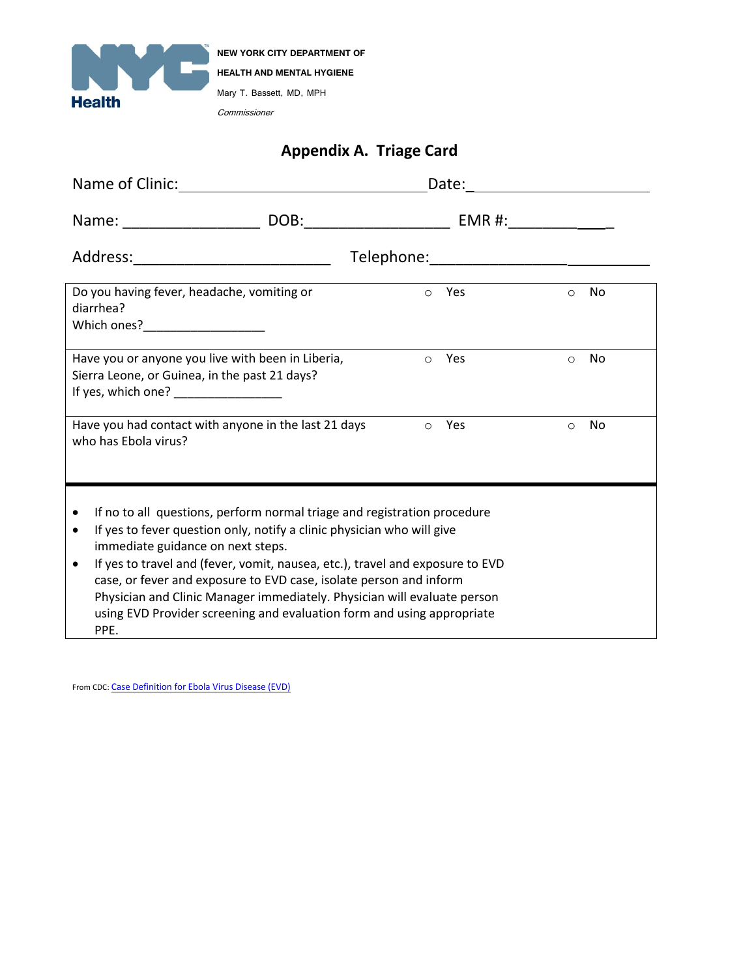

# **Appendix A. Triage Card**

| Name of Clinic: Name of Clinics                                                                                                                                                                                                                                                                                                                                                                                                                                                                                                                     |  | Date: <u>____________________</u> |         |            |
|-----------------------------------------------------------------------------------------------------------------------------------------------------------------------------------------------------------------------------------------------------------------------------------------------------------------------------------------------------------------------------------------------------------------------------------------------------------------------------------------------------------------------------------------------------|--|-----------------------------------|---------|------------|
|                                                                                                                                                                                                                                                                                                                                                                                                                                                                                                                                                     |  |                                   |         |            |
| Address:_______________________________                                                                                                                                                                                                                                                                                                                                                                                                                                                                                                             |  |                                   |         |            |
| Do you having fever, headache, vomiting or<br>diarrhea?                                                                                                                                                                                                                                                                                                                                                                                                                                                                                             |  | o Yes                             |         | $\circ$ No |
| Have you or anyone you live with been in Liberia,<br>Sierra Leone, or Guinea, in the past 21 days?<br>If yes, which one? _________________                                                                                                                                                                                                                                                                                                                                                                                                          |  | Yes<br>$\circ$                    | $\circ$ | No         |
| Have you had contact with anyone in the last 21 days<br>who has Ebola virus?                                                                                                                                                                                                                                                                                                                                                                                                                                                                        |  | Yes<br>$\bigcirc$                 | $\circ$ | No         |
| If no to all questions, perform normal triage and registration procedure<br>$\bullet$<br>If yes to fever question only, notify a clinic physician who will give<br>$\bullet$<br>immediate guidance on next steps.<br>If yes to travel and (fever, vomit, nausea, etc.), travel and exposure to EVD<br>$\bullet$<br>case, or fever and exposure to EVD case, isolate person and inform<br>Physician and Clinic Manager immediately. Physician will evaluate person<br>using EVD Provider screening and evaluation form and using appropriate<br>PPE. |  |                                   |         |            |

From CDC: [Case Definition for Ebola Virus Disease \(EVD\)](http://www.cdc.gov/vhf/ebola/hcp/case-definition.html)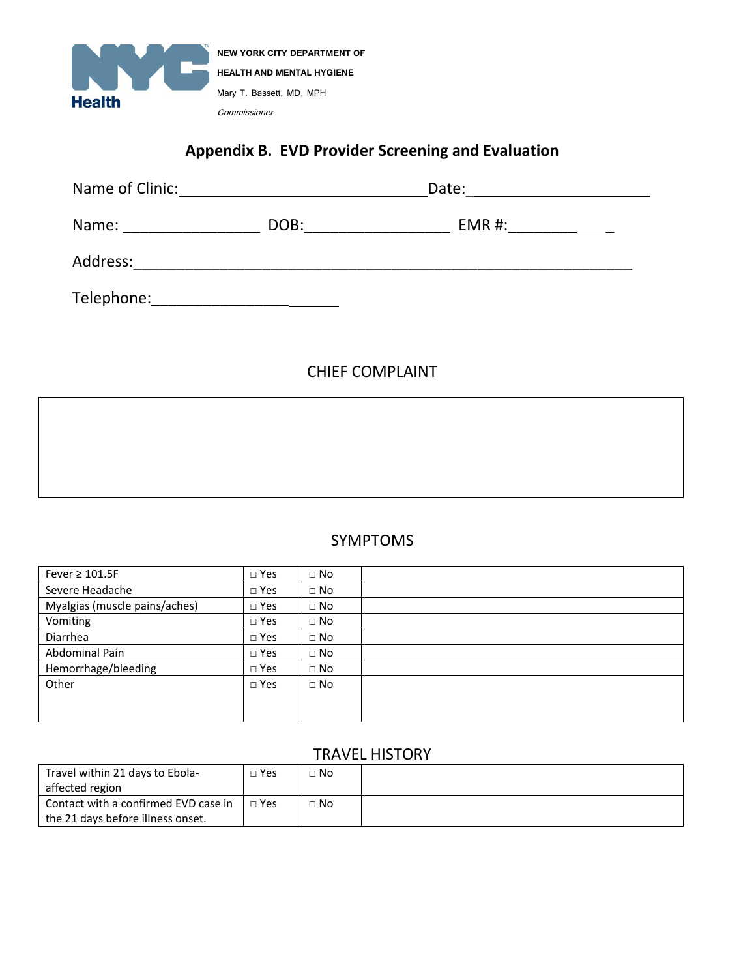

# **Appendix B. EVD Provider Screening and Evaluation**

| Name of Clinic: | Date: |        |  |
|-----------------|-------|--------|--|
| Name:           | DOB:  | EMR #: |  |
| Address:        |       |        |  |
| Telephone:      |       |        |  |

## CHIEF COMPLAINT

## SYMPTOMS

| Fever $\geq 101.5F$           | $\Box$ Yes    | $\Box$ No |  |
|-------------------------------|---------------|-----------|--|
| Severe Headache               | $\square$ Yes | $\Box$ No |  |
| Myalgias (muscle pains/aches) | $\square$ Yes | $\Box$ No |  |
| Vomiting                      | $\square$ Yes | $\Box$ No |  |
| <b>Diarrhea</b>               | $\square$ Yes | $\Box$ No |  |
| Abdominal Pain                | $\square$ Yes | $\Box$ No |  |
| Hemorrhage/bleeding           | $\square$ Yes | $\Box$ No |  |
| Other                         | $\Box$ Yes    | $\Box$ No |  |
|                               |               |           |  |
|                               |               |           |  |

## TRAVEL HISTORY

| Travel within 21 days to Ebola-      | Yes | $\Box$ No |  |
|--------------------------------------|-----|-----------|--|
| affected region                      |     |           |  |
| Contact with a confirmed EVD case in | Yes | $\Box$ No |  |
| the 21 days before illness onset.    |     |           |  |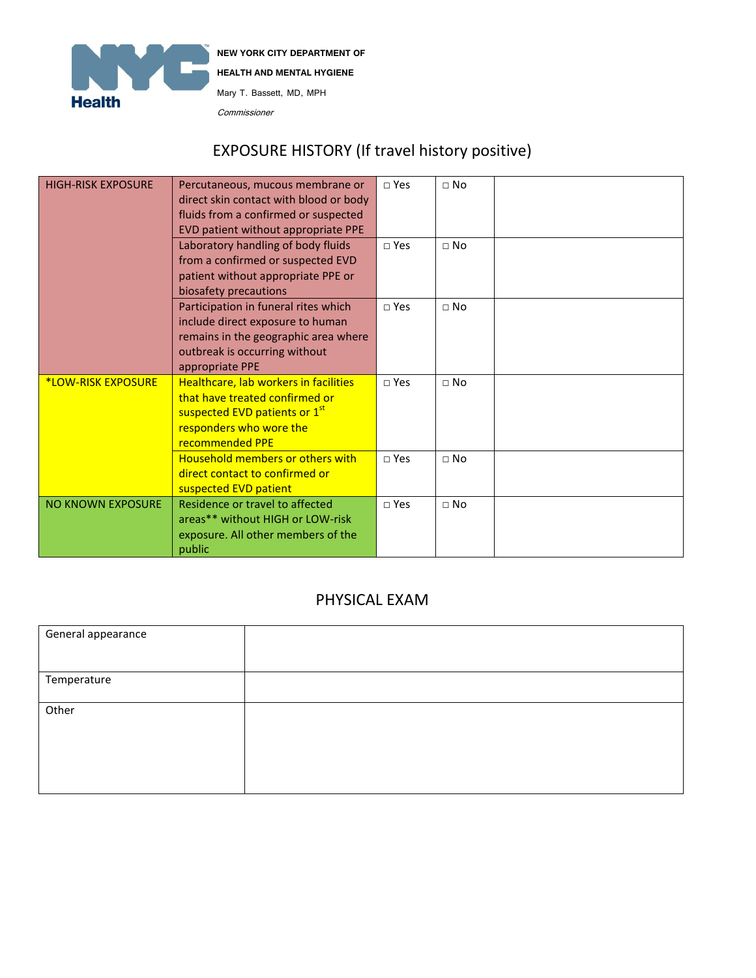

**NEW YORK CITY DEPARTMENT OF HEALTH AND MENTAL HYGIENE** Mary T. Bassett, MD, MPH

Commissioner

# EXPOSURE HISTORY (If travel history positive)

| <b>HIGH-RISK EXPOSURE</b> | Percutaneous, mucous membrane or<br>direct skin contact with blood or body<br>fluids from a confirmed or suspected<br>EVD patient without appropriate PPE<br>Laboratory handling of body fluids<br>from a confirmed or suspected EVD<br>patient without appropriate PPE or<br>biosafety precautions | $\sqcap$ Yes<br>$\sqcap$ Yes | $\Box$ No<br>$\Box$ No |  |
|---------------------------|-----------------------------------------------------------------------------------------------------------------------------------------------------------------------------------------------------------------------------------------------------------------------------------------------------|------------------------------|------------------------|--|
|                           | Participation in funeral rites which<br>include direct exposure to human<br>remains in the geographic area where<br>outbreak is occurring without<br>appropriate PPE                                                                                                                                | $\sqcap$ Yes                 | $\Box$ No              |  |
| <b>*LOW-RISK EXPOSURE</b> | Healthcare, lab workers in facilities<br>that have treated confirmed or<br>suspected EVD patients or 1 <sup>st</sup><br>responders who wore the<br>recommended PPE                                                                                                                                  | $\sqcap$ Yes                 | $\Box$ No              |  |
|                           | <b>Household members or others with</b><br>direct contact to confirmed or<br>suspected EVD patient                                                                                                                                                                                                  | $\sqcap$ Yes                 | $\Box$ No              |  |
| <b>NO KNOWN EXPOSURE</b>  | Residence or travel to affected<br>areas** without HIGH or LOW-risk<br>exposure. All other members of the<br>public                                                                                                                                                                                 | $\sqcap$ Yes                 | $\Box$ No              |  |

## PHYSICAL EXAM

| General appearance |  |
|--------------------|--|
|                    |  |
| Temperature        |  |
|                    |  |
| Other              |  |
|                    |  |
|                    |  |
|                    |  |
|                    |  |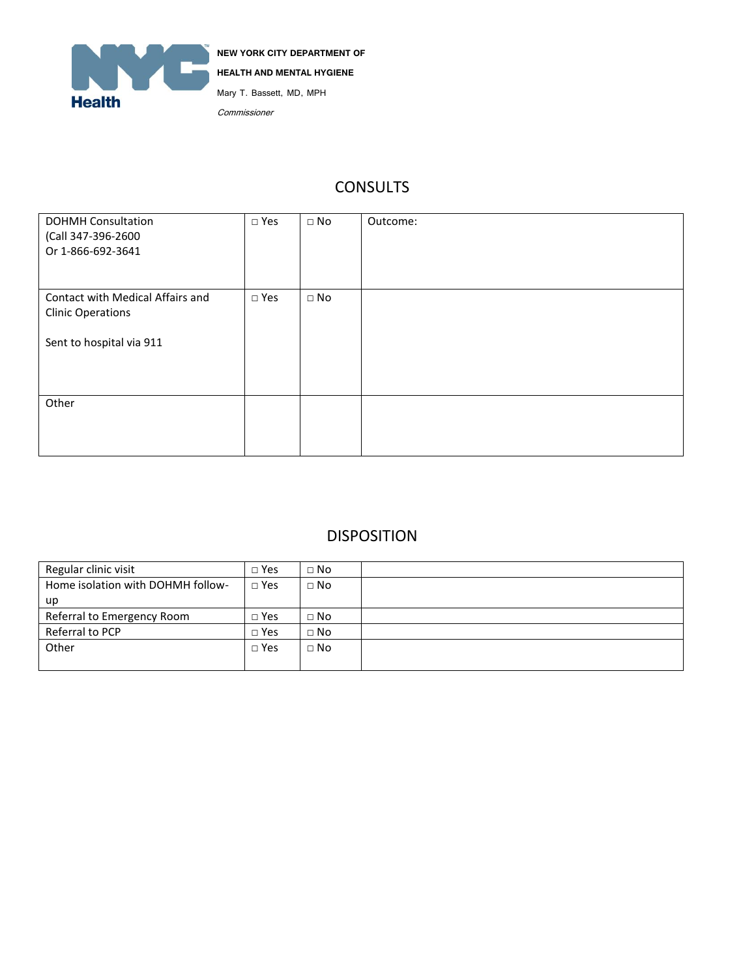

# **CONSULTS**

| <b>DOHMH Consultation</b><br>(Call 347-396-2600<br>Or 1-866-692-3641 | $\square$ Yes | $\Box$ No | Outcome: |
|----------------------------------------------------------------------|---------------|-----------|----------|
| Contact with Medical Affairs and<br><b>Clinic Operations</b>         | $\square$ Yes | $\Box$ No |          |
| Sent to hospital via 911                                             |               |           |          |
| Other                                                                |               |           |          |

## DISPOSITION

| Regular clinic visit              | $\Box$ Yes   | $\Box$ No |  |
|-----------------------------------|--------------|-----------|--|
| Home isolation with DOHMH follow- | $\sqcap$ Yes | $\Box$ No |  |
| up                                |              |           |  |
| Referral to Emergency Room        | $\Box$ Yes   | $\Box$ No |  |
| Referral to PCP                   | $\Box$ Yes   | $\Box$ No |  |
| Other                             | $\Box$ Yes   | $\Box$ No |  |
|                                   |              |           |  |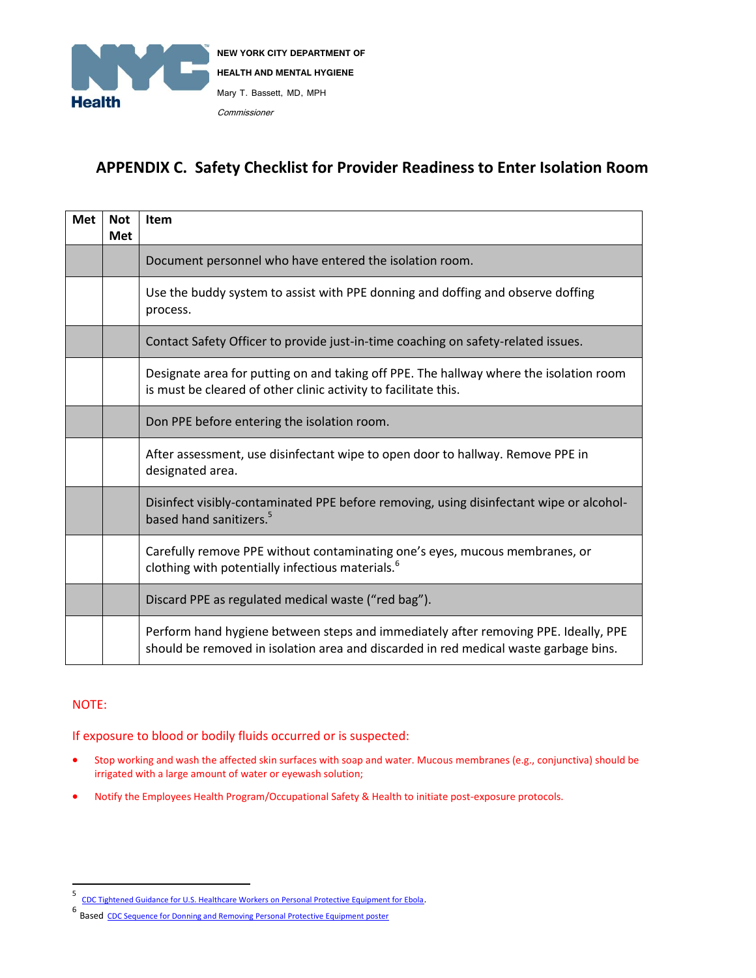

## **APPENDIX C. Safety Checklist for Provider Readiness to Enter Isolation Room**

| <b>Met</b> | <b>Not</b><br><b>Met</b> | <b>Item</b>                                                                                                                                                                 |
|------------|--------------------------|-----------------------------------------------------------------------------------------------------------------------------------------------------------------------------|
|            |                          | Document personnel who have entered the isolation room.                                                                                                                     |
|            |                          | Use the buddy system to assist with PPE donning and doffing and observe doffing<br>process.                                                                                 |
|            |                          | Contact Safety Officer to provide just-in-time coaching on safety-related issues.                                                                                           |
|            |                          | Designate area for putting on and taking off PPE. The hallway where the isolation room<br>is must be cleared of other clinic activity to facilitate this.                   |
|            |                          | Don PPE before entering the isolation room.                                                                                                                                 |
|            |                          | After assessment, use disinfectant wipe to open door to hallway. Remove PPE in<br>designated area.                                                                          |
|            |                          | Disinfect visibly-contaminated PPE before removing, using disinfectant wipe or alcohol-<br>based hand sanitizers. <sup>5</sup>                                              |
|            |                          | Carefully remove PPE without contaminating one's eyes, mucous membranes, or<br>clothing with potentially infectious materials. <sup>6</sup>                                 |
|            |                          | Discard PPE as regulated medical waste ("red bag").                                                                                                                         |
|            |                          | Perform hand hygiene between steps and immediately after removing PPE. Ideally, PPE<br>should be removed in isolation area and discarded in red medical waste garbage bins. |

### NOTE:

If exposure to blood or bodily fluids occurred or is suspected:

- Stop working and wash the affected skin surfaces with soap and water. Mucous membranes (e.g., conjunctiva) should be irrigated with a large amount of water or eyewash solution;
- Notify the Employees Health Program/Occupational Safety & Health to initiate post-exposure protocols.

<sup>-&</sup>lt;br>5 [CDC Tightened Guidance for U.S. Healthcare Workers on Personal Protective Equipment for Ebola](http://www.cdc.gov/media/releases/2014/fs1020-ebola-personal-protective-equipment.html).

<sup>6</sup> Based [CDC Sequence for Donning and Removing Personal Protective Equipment poster](http://www.cdc.gov/hai/pdfs/ppe/PPE-Sequence.pdf)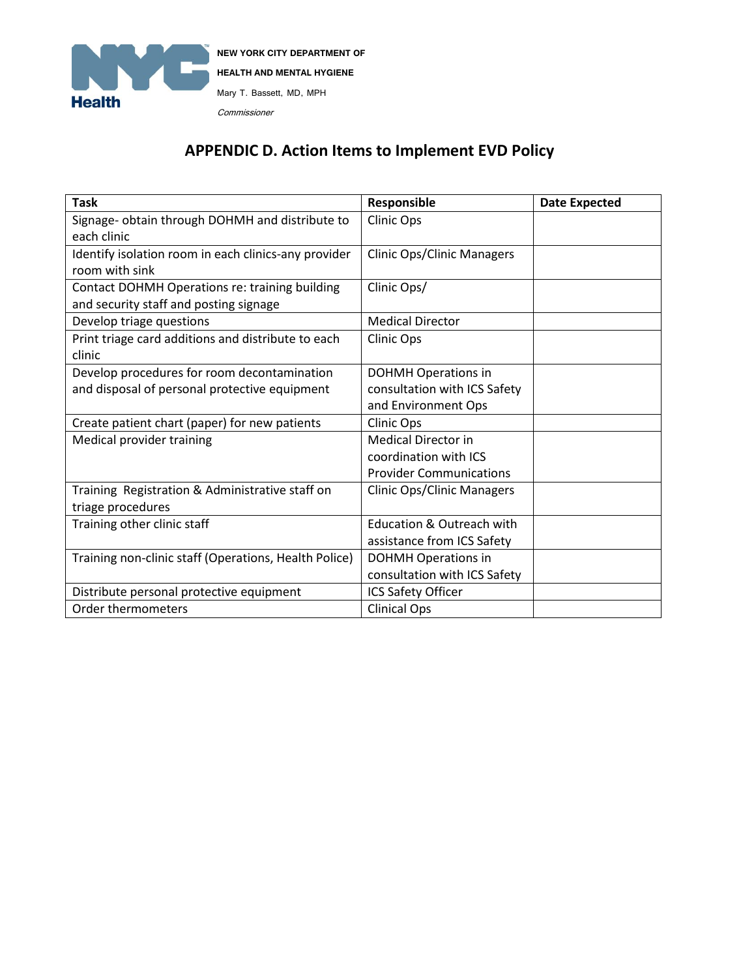

# **APPENDIC D. Action Items to Implement EVD Policy**

| <b>Task</b>                                           | Responsible                          | <b>Date Expected</b> |
|-------------------------------------------------------|--------------------------------------|----------------------|
| Signage- obtain through DOHMH and distribute to       | Clinic Ops                           |                      |
| each clinic                                           |                                      |                      |
| Identify isolation room in each clinics-any provider  | <b>Clinic Ops/Clinic Managers</b>    |                      |
| room with sink                                        |                                      |                      |
| Contact DOHMH Operations re: training building        | Clinic Ops/                          |                      |
| and security staff and posting signage                |                                      |                      |
| Develop triage questions                              | <b>Medical Director</b>              |                      |
| Print triage card additions and distribute to each    | <b>Clinic Ops</b>                    |                      |
| clinic                                                |                                      |                      |
| Develop procedures for room decontamination           | <b>DOHMH Operations in</b>           |                      |
| and disposal of personal protective equipment         | consultation with ICS Safety         |                      |
|                                                       | and Environment Ops                  |                      |
| Create patient chart (paper) for new patients         | <b>Clinic Ops</b>                    |                      |
| Medical provider training                             | <b>Medical Director in</b>           |                      |
|                                                       | coordination with ICS                |                      |
|                                                       | <b>Provider Communications</b>       |                      |
| Training Registration & Administrative staff on       | <b>Clinic Ops/Clinic Managers</b>    |                      |
| triage procedures                                     |                                      |                      |
| Training other clinic staff                           | <b>Education &amp; Outreach with</b> |                      |
|                                                       | assistance from ICS Safety           |                      |
| Training non-clinic staff (Operations, Health Police) | <b>DOHMH Operations in</b>           |                      |
|                                                       | consultation with ICS Safety         |                      |
| Distribute personal protective equipment              | ICS Safety Officer                   |                      |
| Order thermometers                                    | <b>Clinical Ops</b>                  |                      |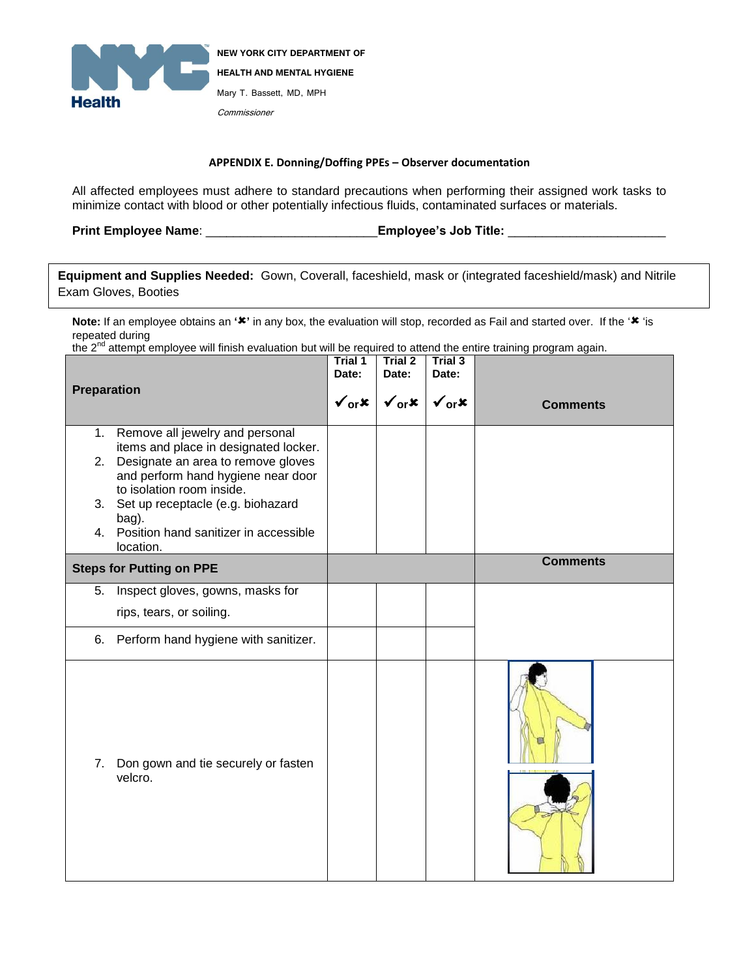

#### **APPENDIX E. Donning/Doffing PPEs – Observer documentation**

All affected employees must adhere to standard precautions when performing their assigned work tasks to minimize contact with blood or other potentially infectious fluids, contaminated surfaces or materials.

**Print Employee Name**: \_\_\_\_\_\_\_\_\_\_\_\_\_\_\_\_\_\_\_\_\_\_\_\_\_**Employee's Job Title:** \_\_\_\_\_\_\_\_\_\_\_\_\_\_\_\_\_\_\_\_\_\_\_

**Equipment and Supplies Needed:** Gown, Coverall, faceshield, mask or (integrated faceshield/mask) and Nitrile Exam Gloves, Booties

Note: If an employee obtains an '<sup>\*</sup>' in any box, the evaluation will stop, recorded as Fail and started over. If the '\* 'is repeated during

the 2<sup>nd</sup> attempt employee will finish evaluation but will be required to attend the entire training program again.

| <b>Preparation</b> |                                                                                                                                                                                                                                                                                                | Trial 1<br>Date: | Trial 2<br>Date:<br>$\checkmark_{\text{or}}$ x $\checkmark$ $\checkmark_{\text{or}}$ x $\checkmark$ | Trial 3<br>Date: | <b>Comments</b> |
|--------------------|------------------------------------------------------------------------------------------------------------------------------------------------------------------------------------------------------------------------------------------------------------------------------------------------|------------------|-----------------------------------------------------------------------------------------------------|------------------|-----------------|
| 1.                 | Remove all jewelry and personal<br>items and place in designated locker.<br>2. Designate an area to remove gloves<br>and perform hand hygiene near door<br>to isolation room inside.<br>3. Set up receptacle (e.g. biohazard<br>bag).<br>4. Position hand sanitizer in accessible<br>location. |                  |                                                                                                     |                  |                 |
|                    | <b>Steps for Putting on PPE</b>                                                                                                                                                                                                                                                                |                  |                                                                                                     |                  | <b>Comments</b> |
| 5.                 | Inspect gloves, gowns, masks for                                                                                                                                                                                                                                                               |                  |                                                                                                     |                  |                 |
|                    | rips, tears, or soiling.                                                                                                                                                                                                                                                                       |                  |                                                                                                     |                  |                 |
| 6.                 | Perform hand hygiene with sanitizer.                                                                                                                                                                                                                                                           |                  |                                                                                                     |                  |                 |
| 7.                 | Don gown and tie securely or fasten<br>velcro.                                                                                                                                                                                                                                                 |                  |                                                                                                     |                  |                 |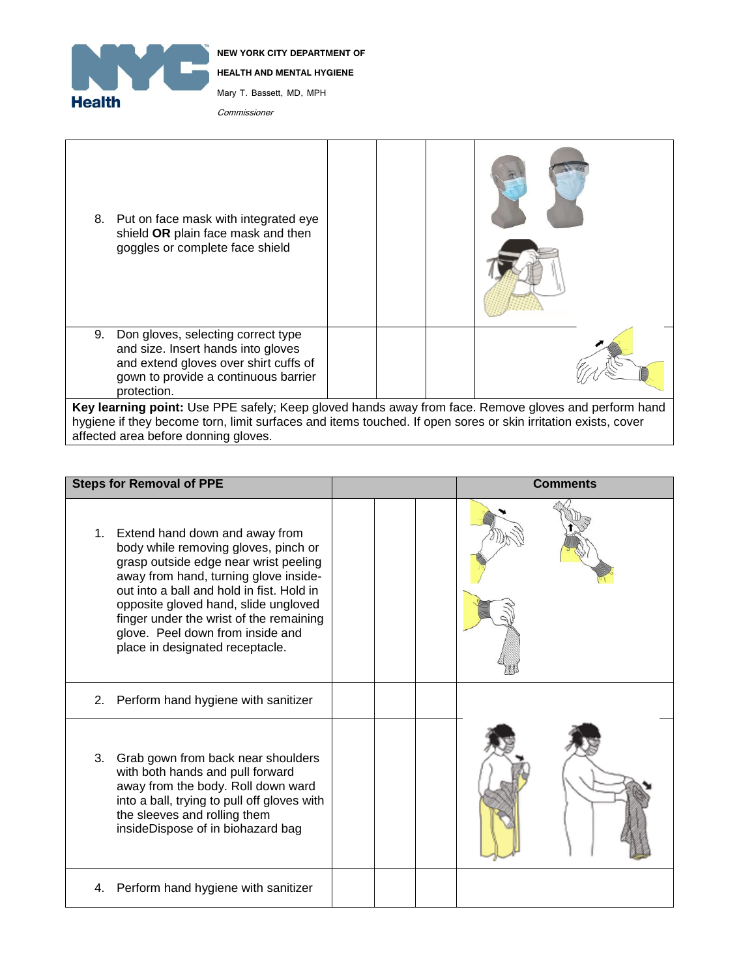

**NEW YORK CITY DEPARTMENT OF HEALTH AND MENTAL HYGIENE** Mary T. Bassett, MD, MPH Commissioner

| 8. Put on face mask with integrated eye<br>shield OR plain face mask and then<br>goggles or complete face shield |  |  |  |  |  |
|------------------------------------------------------------------------------------------------------------------|--|--|--|--|--|
| 9.<br>Don gloves, selecting correct type                                                                         |  |  |  |  |  |
| and size. Insert hands into gloves<br>and extend gloves over shirt cuffs of                                      |  |  |  |  |  |
| gown to provide a continuous barrier                                                                             |  |  |  |  |  |
| protection.                                                                                                      |  |  |  |  |  |
| Key learning point: Use PPE safely; Keep gloved hands away from face. Remove gloves and perform hand             |  |  |  |  |  |
| hygiene if they become torn, limit surfaces and items touched. If open sores or skin irritation exists, cover    |  |  |  |  |  |
| affected area before donning gloves.                                                                             |  |  |  |  |  |

| <b>Steps for Removal of PPE</b>                                                                                                                                                                                                                                                                                                                                       | <b>Comments</b> |
|-----------------------------------------------------------------------------------------------------------------------------------------------------------------------------------------------------------------------------------------------------------------------------------------------------------------------------------------------------------------------|-----------------|
| Extend hand down and away from<br>1.<br>body while removing gloves, pinch or<br>grasp outside edge near wrist peeling<br>away from hand, turning glove inside-<br>out into a ball and hold in fist. Hold in<br>opposite gloved hand, slide ungloved<br>finger under the wrist of the remaining<br>glove. Peel down from inside and<br>place in designated receptacle. |                 |
| 2. Perform hand hygiene with sanitizer                                                                                                                                                                                                                                                                                                                                |                 |
| 3.<br>Grab gown from back near shoulders<br>with both hands and pull forward<br>away from the body. Roll down ward<br>into a ball, trying to pull off gloves with<br>the sleeves and rolling them<br>insideDispose of in biohazard bag                                                                                                                                |                 |
| Perform hand hygiene with sanitizer<br>4.                                                                                                                                                                                                                                                                                                                             |                 |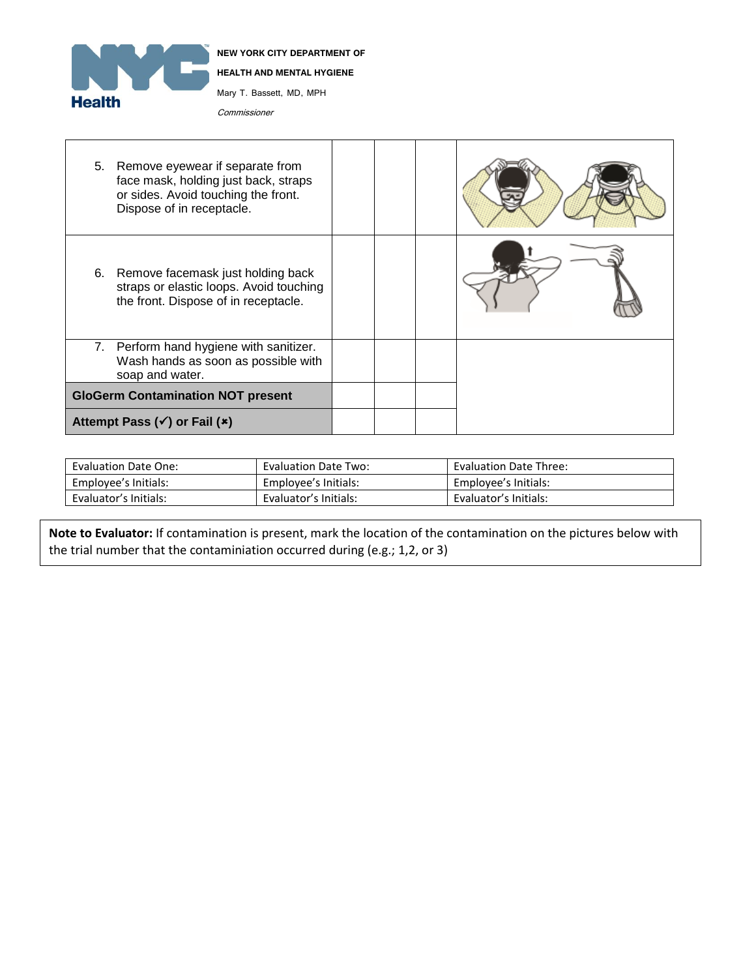

|    | 5. Remove eyewear if separate from<br>face mask, holding just back, straps<br>or sides. Avoid touching the front.<br>Dispose of in receptacle. |  |  |
|----|------------------------------------------------------------------------------------------------------------------------------------------------|--|--|
| 6. | Remove facemask just holding back<br>straps or elastic loops. Avoid touching<br>the front. Dispose of in receptacle.                           |  |  |
| 7. | Perform hand hygiene with sanitizer.<br>Wash hands as soon as possible with<br>soap and water.                                                 |  |  |
|    | <b>GloGerm Contamination NOT present</b>                                                                                                       |  |  |
|    | Attempt Pass $(\checkmark)$ or Fail $(\checkmark)$                                                                                             |  |  |

| <b>Evaluation Date One:</b> | <b>Evaluation Date Two:</b> | <b>Evaluation Date Three:</b> |
|-----------------------------|-----------------------------|-------------------------------|
| Employee's Initials:        | Employee's Initials:        | Employee's Initials:          |
| Evaluator's Initials:       | Evaluator's Initials:       | Evaluator's Initials:         |

 **Note to Evaluator:** If contamination is present, mark the location of the contamination on the pictures below with the trial number that the contaminiation occurred during (e.g.; 1,2, or 3)